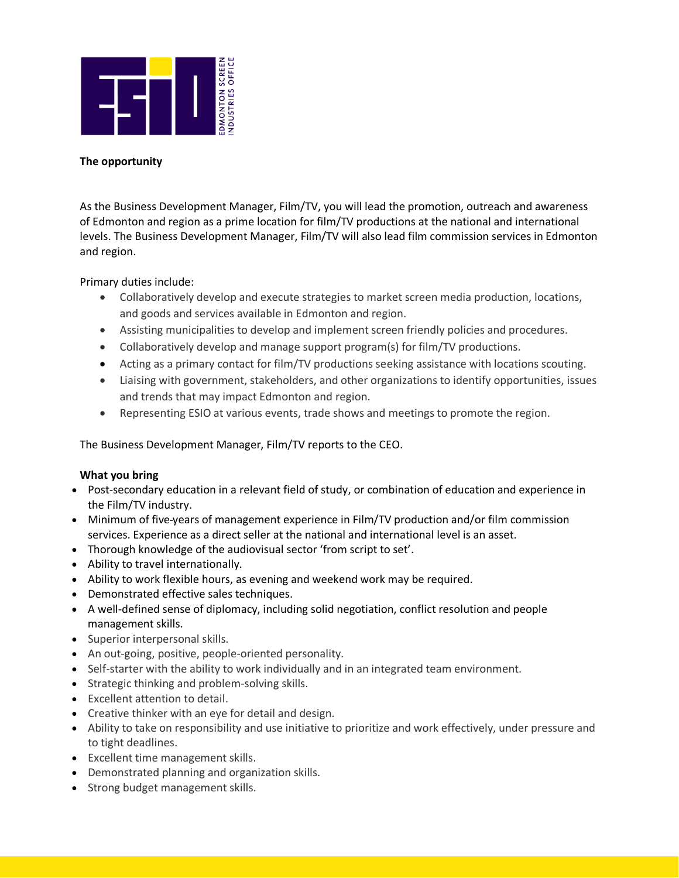

# **The opportunity**

As the Business Development Manager, Film/TV, you will lead the promotion, outreach and awareness of Edmonton and region as a prime location for film/TV productions at the national and international levels. The Business Development Manager, Film/TV will also lead film commission services in Edmonton and region.

Primary duties include:

- Collaboratively develop and execute strategies to market screen media production, locations, and goods and services available in Edmonton and region.
- Assisting municipalities to develop and implement screen friendly policies and procedures.
- Collaboratively develop and manage support program(s) for film/TV productions.
- Acting as a primary contact for film/TV productions seeking assistance with locations scouting.
- Liaising with government, stakeholders, and other organizations to identify opportunities, issues and trends that may impact Edmonton and region.
- Representing ESIO at various events, trade shows and meetings to promote the region.

The Business Development Manager, Film/TV reports to the CEO.

# **What you bring**

- Post-secondary education in a relevant field of study, or combination of education and experience in the Film/TV industry.
- Minimum of five-years of management experience in Film/TV production and/or film commission services. Experience as a direct seller at the national and international level is an asset.
- Thorough knowledge of the audiovisual sector 'from script to set'.
- Ability to travel internationally.
- Ability to work flexible hours, as evening and weekend work may be required.
- Demonstrated effective sales techniques.
- A well-defined sense of diplomacy, including solid negotiation, conflict resolution and people management skills.
- Superior interpersonal skills.
- An out-going, positive, people-oriented personality.
- Self-starter with the ability to work individually and in an integrated team environment.
- Strategic thinking and problem-solving skills.
- Excellent attention to detail.
- Creative thinker with an eye for detail and design.
- Ability to take on responsibility and use initiative to prioritize and work effectively, under pressure and to tight deadlines.
- Excellent time management skills.
- Demonstrated planning and organization skills.
- Strong budget management skills.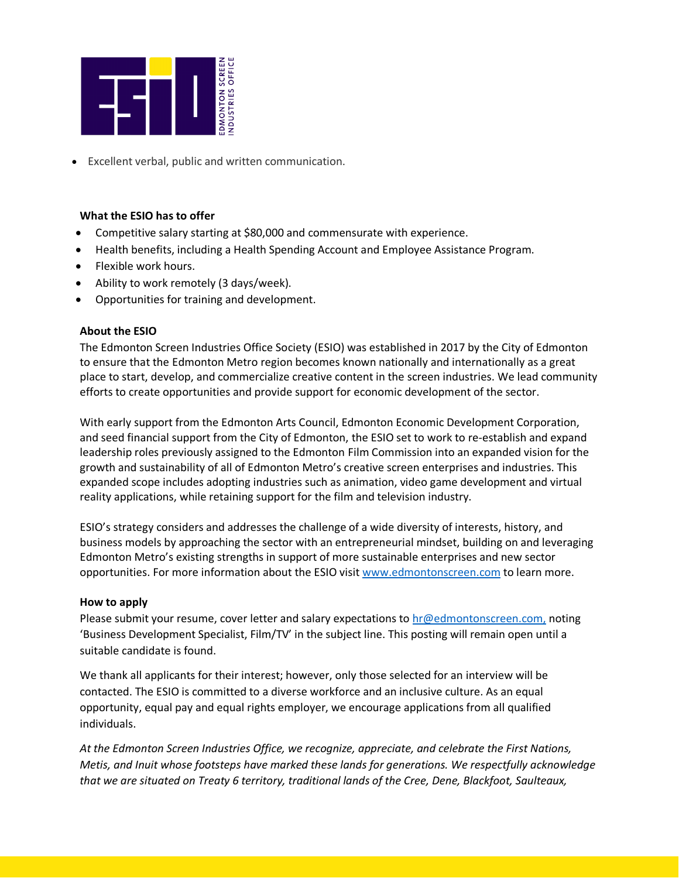

• Excellent verbal, public and written communication.

# **What the ESIO has to offer**

- Competitive salary starting at \$80,000 and commensurate with experience.
- Health benefits, including a Health Spending Account and Employee Assistance Program.
- Flexible work hours.
- Ability to work remotely (3 days/week).
- Opportunities for training and development.

#### **About the ESIO**

The Edmonton Screen Industries Office Society (ESIO) was established in 2017 by the City of Edmonton to ensure that the Edmonton Metro region becomes known nationally and internationally as a great place to start, develop, and commercialize creative content in the screen industries. We lead community efforts to create opportunities and provide support for economic development of the sector.

With early support from the Edmonton Arts Council, Edmonton Economic Development Corporation, and seed financial support from the City of Edmonton, the ESIO set to work to re-establish and expand leadership roles previously assigned to the Edmonton Film Commission into an expanded vision for the growth and sustainability of all of Edmonton Metro's creative screen enterprises and industries. This expanded scope includes adopting industries such as animation, video game development and virtual reality applications, while retaining support for the film and television industry.

ESIO's strategy considers and addresses the challenge of a wide diversity of interests, history, and business models by approaching the sector with an entrepreneurial mindset, building on and leveraging Edmonton Metro's existing strengths in support of more sustainable enterprises and new sector opportunities. For more information about the ESIO visit [www.edmontonscreen.com](http://www.edmontonscreen.com/) to learn more.

# **How to apply**

Please submit your resume, cover letter and salary expectations to [hr@edmontonscreen.com,](mailto:hr@edmontonscreen.com) noting 'Business Development Specialist, Film/TV' in the subject line. This posting will remain open until a suitable candidate is found.

We thank all applicants for their interest; however, only those selected for an interview will be contacted. The ESIO is committed to a diverse workforce and an inclusive culture. As an equal opportunity, equal pay and equal rights employer, we encourage applications from all qualified individuals.

*At the Edmonton Screen Industries Office, we recognize, appreciate, and celebrate the First Nations, Metis, and Inuit whose footsteps have marked these lands for generations. We respectfully acknowledge that we are situated on Treaty 6 territory, traditional lands of the Cree, Dene, Blackfoot, Saulteaux,*